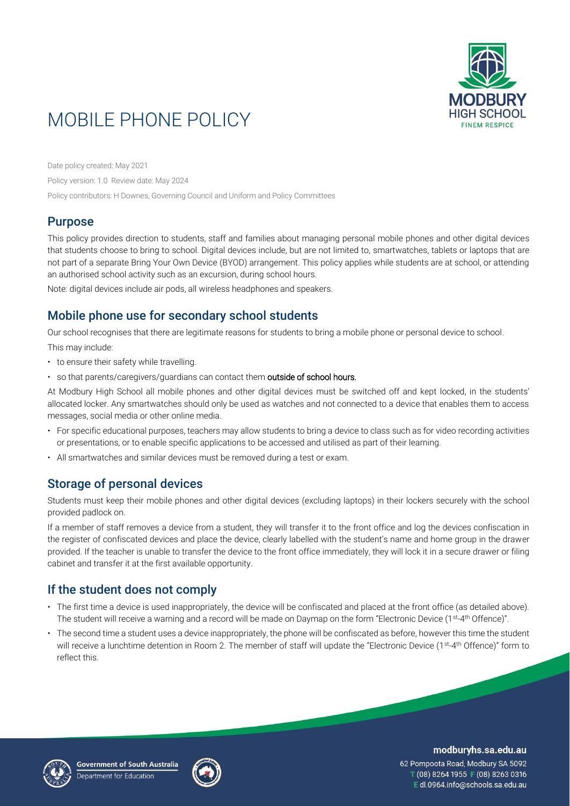

# MOBILE PHONE POLICY

Date policy created: May 2021

Policy version: 1.0 Review date: May 2024

Policy contributors: H Downes, Governing Council and Uniform and Policy Committees

## Purpose

This policy provides direction to students, staff and families about managing personal mobile phones and other digital devices that students choose to bring to school. Digital devices include, but are not limited to, smartwatches, tablets or laptops that are not part of a separate Bring Your Own Device (BYOD) arrangement. This policy applies while students are at school, or attending an authorised school activity such as an excursion, during school hours.

Note: digital devices include air pods, all wireless headphones and speakers.

# Mobile phone use for secondary school students

Our school recognises that there are legitimate reasons for students to bring a mobile phone or personal device to school.

This may include:

- to ensure their safety while travelling.
- so that parents/caregivers/guardians can contact them outside of school hours.

At Modbury High School all mobile phones and other digital devices must be switched off and kept locked, in the students' allocated locker. Any smartwatches should only be used as watches and not connected to a device that enables them to access messages, social media or other online media.

- For specific educational purposes, teachers may allow students to bring a device to class such as for video recording activities or presentations, or to enable specific applications to be accessed and utilised as part of their learning.
- All smartwatches and similar devices must be removed during a test or exam.

## Storage of personal devices

Students must keep their mobile phones and other digital devices (excluding laptops) in their lockers securely with the school provided padlock on.

If a member of staff removes a device from a student, they will transfer it to the front office and log the devices confiscation in the register of confiscated devices and place the device, clearly labelled with the student's name and home group in the drawer provided. If the teacher is unable to transfer the device to the front office immediately, they will lock it in a secure drawer or filing cabinet and transfer it at the first available opportunity.

# If the student does not comply

- The first time a device is used inappropriately, the device will be confiscated and placed at the front office (as detailed above). The student will receive a warning and a record will be made on Daymap on the form "Electronic Device (1st-4th Offence)".
- The second time a student uses a device inappropriately, the phone will be confiscated as before, however this time the student will receive a lunchtime detention in Room 2. The member of staff will update the "Electronic Device (1st -4 th Offence)" form to reflect this.





modburyhs.sa.edu.au

62 Pompoota Road, Modbury SA 5092 T (08) 8264 1955 F (08) 8263 0316 E dl.0964.info@schools.sa.edu.au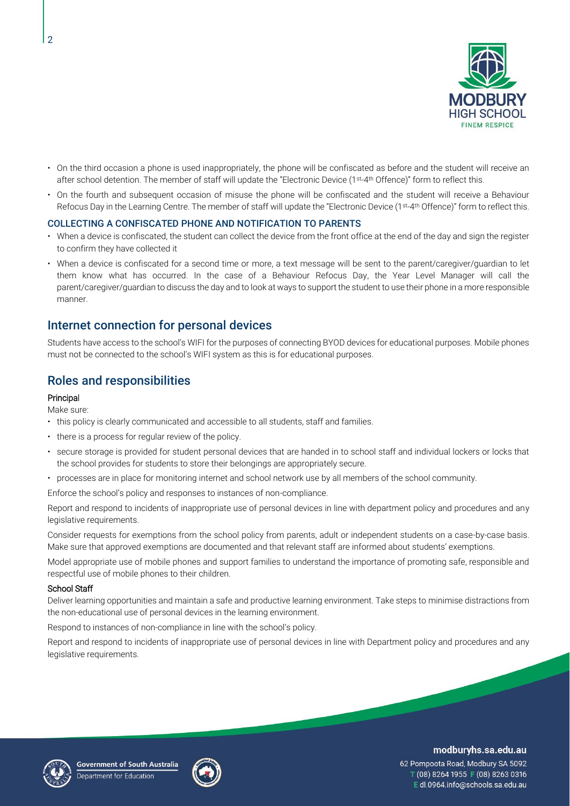

- On the third occasion a phone is used inappropriately, the phone will be confiscated as before and the student will receive an after school detention. The member of staff will update the "Electronic Device (1st -4 th Offence)" form to reflect this.
- On the fourth and subsequent occasion of misuse the phone will be confiscated and the student will receive a Behaviour Refocus Day in the Learning Centre. The member of staff will update the "Electronic Device (1st -4 th Offence)" form to reflect this.

#### COLLECTING A CONFISCATED PHONE AND NOTIFICATION TO PARENTS

- When a device is confiscated, the student can collect the device from the front office at the end of the day and sign the register to confirm they have collected it
- When a device is confiscated for a second time or more, a text message will be sent to the parent/caregiver/guardian to let them know what has occurred. In the case of a Behaviour Refocus Day, the Year Level Manager will call the parent/caregiver/guardian to discuss the day and to look at ways to support the student to use their phone in a more responsible manner.

### Internet connection for personal devices

Students have access to the school's WIFI for the purposes of connecting BYOD devices for educational purposes. Mobile phones must not be connected to the school's WIFI system as this is for educational purposes.

### Roles and responsibilities

#### Principal

Make sure:

- this policy is clearly communicated and accessible to all students, staff and families.
- there is a process for regular review of the policy.
- secure storage is provided for student personal devices that are handed in to school staff and individual lockers or locks that the school provides for students to store their belongings are appropriately secure.
- processes are in place for monitoring internet and school network use by all members of the school community.

Enforce the school's policy and responses to instances of non-compliance.

Report and respond to incidents of inappropriate use of personal devices in line with department policy and procedures and any legislative requirements.

Consider requests for exemptions from the school policy from parents, adult or independent students on a case-by-case basis. Make sure that approved exemptions are documented and that relevant staff are informed about students' exemptions.

Model appropriate use of mobile phones and support families to understand the importance of promoting safe, responsible and respectful use of mobile phones to their children.

#### School Staff

Deliver learning opportunities and maintain a safe and productive learning environment. Take steps to minimise distractions from the non-educational use of personal devices in the learning environment.

Respond to instances of non-compliance in line with the school's policy.

Report and respond to incidents of inappropriate use of personal devices in line with Department policy and procedures and any legislative requirements.





#### modburyhs.sa.edu.au

62 Pompoota Road, Modbury SA 5092 T (08) 8264 1955 F (08) 8263 0316 Edl.0964.info@schools.sa.edu.au